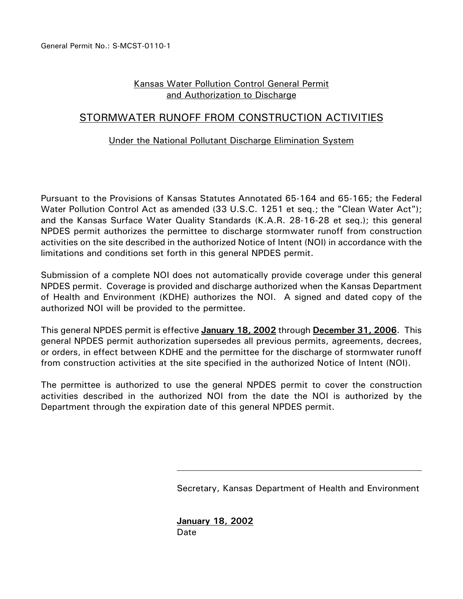# Kansas Water Pollution Control General Permit and Authorization to Discharge

# STORMWATER RUNOFF FROM CONSTRUCTION ACTIVITIES

# Under the National Pollutant Discharge Elimination System

Pursuant to the Provisions of Kansas Statutes Annotated 65-164 and 65-165; the Federal Water Pollution Control Act as amended (33 U.S.C. 1251 et seq.; the "Clean Water Act"); and the Kansas Surface Water Quality Standards (K.A.R. 28-16-28 et seq.); this general NPDES permit authorizes the permittee to discharge stormwater runoff from construction activities on the site described in the authorized Notice of Intent (NOI) in accordance with the limitations and conditions set forth in this general NPDES permit.

Submission of a complete NOI does not automatically provide coverage under this general NPDES permit. Coverage is provided and discharge authorized when the Kansas Department of Health and Environment (KDHE) authorizes the NOI. A signed and dated copy of the authorized NOI will be provided to the permittee.

This general NPDES permit is effective **January 18, 2002** through **December 31, 2006**. This general NPDES permit authorization supersedes all previous permits, agreements, decrees, or orders, in effect between KDHE and the permittee for the discharge of stormwater runoff from construction activities at the site specified in the authorized Notice of Intent (NOI).

The permittee is authorized to use the general NPDES permit to cover the construction activities described in the authorized NOI from the date the NOI is authorized by the Department through the expiration date of this general NPDES permit.

Secretary, Kansas Department of Health and Environment

**January 18, 2002** Date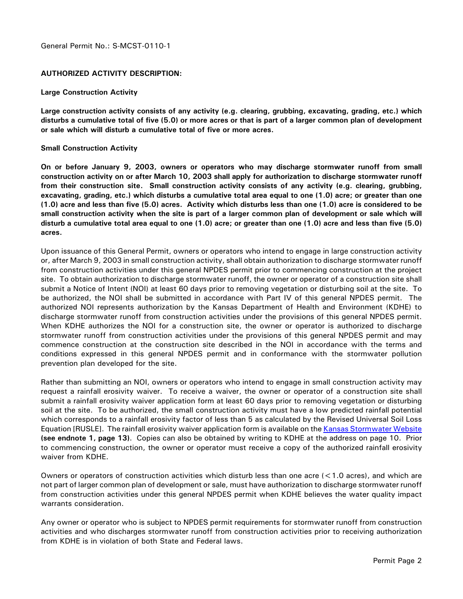#### General Permit No.: S-MCST-0110-1

#### **AUTHORIZED ACTIVITY DESCRIPTION:**

#### **Large Construction Activity**

**Large construction activity consists of any activity (e.g. clearing, grubbing, excavating, grading, etc.) which disturbs a cumulative total of five (5.0) or more acres or that is part of a larger common plan of development or sale which will disturb a cumulative total of five or more acres.**

#### **Small Construction Activity**

**On or before January 9, 2003, owners or operators who may discharge stormwater runoff from small construction activity on or after March 10, 2003 shall apply for authorization to discharge stormwater runoff from their construction site. Small construction activity consists of any activity (e.g. clearing, grubbing, excavating, grading, etc.) which disturbs a cumulative total area equal to one (1.0) acre; or greater than one (1.0) acre and less than five (5.0) acres. Activity which disturbs less than one (1.0) acre is considered to be small construction activity when the site is part of a larger common plan of development or sale which will disturb a cumulative total area equal to one (1.0) acre; or greater than one (1.0) acre and less than five (5.0) acres.** 

Upon issuance of this General Permit, owners or operators who intend to engage in large construction activity or, after March 9, 2003 in small construction activity, shall obtain authorization to discharge stormwater runoff from construction activities under this general NPDES permit prior to commencing construction at the project site. To obtain authorization to discharge stormwater runoff, the owner or operator of a construction site shall submit a Notice of Intent (NOI) at least 60 days prior to removing vegetation or disturbing soil at the site. To be authorized, the NOI shall be submitted in accordance with Part IV of this general NPDES permit. The authorized NOI represents authorization by the Kansas Department of Health and Environment (KDHE) to discharge stormwater runoff from construction activities under the provisions of this general NPDES permit. When KDHE authorizes the NOI for a construction site, the owner or operator is authorized to discharge stormwater runoff from construction activities under the provisions of this general NPDES permit and may commence construction at the construction site described in the NOI in accordance with the terms and conditions expressed in this general NPDES permit and in conformance with the stormwater pollution prevention plan developed for the site.

Rather than submitting an NOI, owners or operators who intend to engage in small construction activity may request a rainfall erosivity waiver. To receive a waiver, the owner or operator of a construction site shall submit a rainfall erosivity waiver application form at least 60 days prior to removing vegetation or disturbing soil at the site. To be authorized, the small construction activity must have a low predicted rainfall potential which corresponds to a rainfall erosivity factor of less than 5 as calculated by the Revised Universal Soil Loss Equation [RUSLE]. The rainfall erosivity waiver application form is available on the Kansas Stormwater Website **(see endnote 1, page 13)**. Copies can also be obtained by writing to KDHE at the address on page 10. Prior to commencing construction, the owner or operator must receive a copy of the authorized rainfall erosivity waiver from KDHE.

Owners or operators of construction activities which disturb less than one acre (<1.0 acres), and which are not part of larger common plan of development or sale, must have authorization to discharge stormwater runoff from construction activities under this general NPDES permit when KDHE believes the water quality impact warrants consideration.

Any owner or operator who is subject to NPDES permit requirements for stormwater runoff from construction activities and who discharges stormwater runoff from construction activities prior to receiving authorization from KDHE is in violation of both State and Federal laws.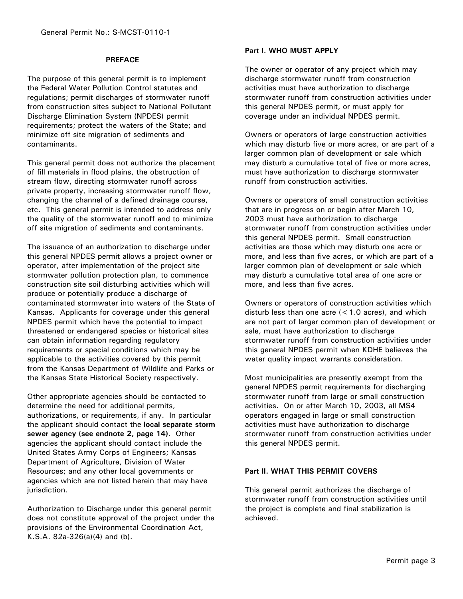#### **PREFACE**

The purpose of this general permit is to implement the Federal Water Pollution Control statutes and regulations; permit discharges of stormwater runoff from construction sites subject to National Pollutant Discharge Elimination System (NPDES) permit requirements; protect the waters of the State; and minimize off site migration of sediments and contaminants.

This general permit does not authorize the placement of fill materials in flood plains, the obstruction of stream flow, directing stormwater runoff across private property, increasing stormwater runoff flow, changing the channel of a defined drainage course, etc. This general permit is intended to address only the quality of the stormwater runoff and to minimize off site migration of sediments and contaminants.

The issuance of an authorization to discharge under this general NPDES permit allows a project owner or operator, after implementation of the project site stormwater pollution protection plan, to commence construction site soil disturbing activities which will produce or potentially produce a discharge of contaminated stormwater into waters of the State of Kansas. Applicants for coverage under this general NPDES permit which have the potential to impact threatened or endangered species or historical sites can obtain information regarding regulatory requirements or special conditions which may be applicable to the activities covered by this permit from the Kansas Department of Wildlife and Parks or the Kansas State Historical Society respectively.

Other appropriate agencies should be contacted to determine the need for additional permits, authorizations, or requirements, if any. In particular the applicant should contact the **local separate storm sewer agency (see endnote 2, page 14)**. Other agencies the applicant should contact include the United States Army Corps of Engineers; Kansas Department of Agriculture, Division of Water Resources; and any other local governments or agencies which are not listed herein that may have jurisdiction.

Authorization to Discharge under this general permit does not constitute approval of the project under the provisions of the Environmental Coordination Act, K.S.A. 82a-326(a)(4) and (b).

# **Part I. WHO MUST APPLY**

The owner or operator of any project which may discharge stormwater runoff from construction activities must have authorization to discharge stormwater runoff from construction activities under this general NPDES permit, or must apply for coverage under an individual NPDES permit.

Owners or operators of large construction activities which may disturb five or more acres, or are part of a larger common plan of development or sale which may disturb a cumulative total of five or more acres, must have authorization to discharge stormwater runoff from construction activities.

Owners or operators of small construction activities that are in progress on or begin after March 10, 2003 must have authorization to discharge stormwater runoff from construction activities under this general NPDES permit. Small construction activities are those which may disturb one acre or more, and less than five acres, or which are part of a larger common plan of development or sale which may disturb a cumulative total area of one acre or more, and less than five acres.

Owners or operators of construction activities which disturb less than one acre (<1.0 acres), and which are not part of larger common plan of development or sale, must have authorization to discharge stormwater runoff from construction activities under this general NPDES permit when KDHE believes the water quality impact warrants consideration.

Most municipalities are presently exempt from the general NPDES permit requirements for discharging stormwater runoff from large or small construction activities. On or after March 10, 2003, all MS4 operators engaged in large or small construction activities must have authorization to discharge stormwater runoff from construction activities under this general NPDES permit.

## **Part II. WHAT THIS PERMIT COVERS**

This general permit authorizes the discharge of stormwater runoff from construction activities until the project is complete and final stabilization is achieved.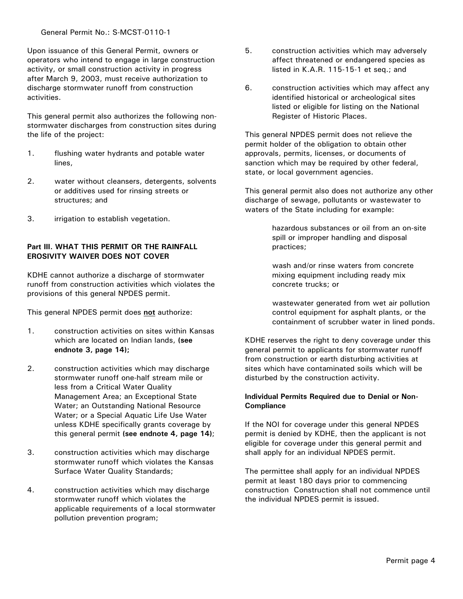Upon issuance of this General Permit, owners or operators who intend to engage in large construction activity, or small construction activity in progress after March 9, 2003, must receive authorization to discharge stormwater runoff from construction activities.

This general permit also authorizes the following nonstormwater discharges from construction sites during the life of the project:

- 1. flushing water hydrants and potable water lines,
- 2. water without cleansers, detergents, solvents or additives used for rinsing streets or structures; and
- 3. irrigation to establish vegetation.

# **Part III. WHAT THIS PERMIT OR THE RAINFALL EROSIVITY WAIVER DOES NOT COVER**

KDHE cannot authorize a discharge of stormwater runoff from construction activities which violates the provisions of this general NPDES permit.

This general NPDES permit does **not** authorize:

- 1. construction activities on sites within Kansas which are located on Indian lands, **(see endnote 3, page 14);**
- 2. construction activities which may discharge stormwater runoff one-half stream mile or less from a Critical Water Quality Management Area; an Exceptional State Water; an Outstanding National Resource Water; or a Special Aquatic Life Use Water unless KDHE specifically grants coverage by this general permit **(see endnote 4, page 14)**;
- 3. construction activities which may discharge stormwater runoff which violates the Kansas Surface Water Quality Standards;
- 4. construction activities which may discharge stormwater runoff which violates the applicable requirements of a local stormwater pollution prevention program;
- 5. construction activities which may adversely affect threatened or endangered species as listed in K.A.R. 115-15-1 et seq.; and
- 6. construction activities which may affect any identified historical or archeological sites listed or eligible for listing on the National Register of Historic Places.

This general NPDES permit does not relieve the permit holder of the obligation to obtain other approvals, permits, licenses, or documents of sanction which may be required by other federal, state, or local government agencies.

This general permit also does not authorize any other discharge of sewage, pollutants or wastewater to waters of the State including for example:

> hazardous substances or oil from an on-site spill or improper handling and disposal practices;

wash and/or rinse waters from concrete mixing equipment including ready mix concrete trucks; or

wastewater generated from wet air pollution control equipment for asphalt plants, or the containment of scrubber water in lined ponds.

KDHE reserves the right to deny coverage under this general permit to applicants for stormwater runoff from construction or earth disturbing activities at sites which have contaminated soils which will be disturbed by the construction activity.

# **Individual Permits Required due to Denial or Non-Compliance**

If the NOI for coverage under this general NPDES permit is denied by KDHE, then the applicant is not eligible for coverage under this general permit and shall apply for an individual NPDES permit.

The permittee shall apply for an individual NPDES permit at least 180 days prior to commencing construction Construction shall not commence until the individual NPDES permit is issued.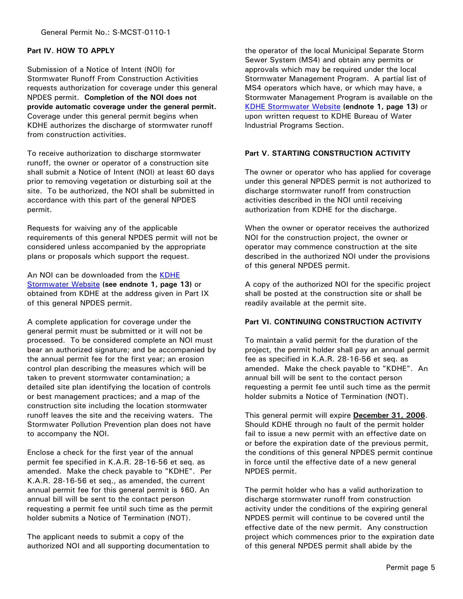# **Part IV. HOW TO APPLY**

Submission of a Notice of Intent (NOI) for Stormwater Runoff From Construction Activities requests authorization for coverage under this general NPDES permit. **Completion of the NOI does not provide automatic coverage under the general permit.**  Coverage under this general permit begins when KDHE authorizes the discharge of stormwater runoff from construction activities.

To receive authorization to discharge stormwater runoff, the owner or operator of a construction site shall submit a Notice of Intent (NOI) at least 60 days prior to removing vegetation or disturbing soil at the site. To be authorized, the NOI shall be submitted in accordance with this part of the general NPDES permit.

Requests for waiving any of the applicable requirements of this general NPDES permit will not be considered unless accompanied by the appropriate plans or proposals which support the request.

An NOI can be downloaded from the KDHE Stormwater Website **(see endnote 1, page 13)** or obtained from KDHE at the address given in Part IX of this general NPDES permit.

A complete application for coverage under the general permit must be submitted or it will not be processed. To be considered complete an NOI must bear an authorized signature; and be accompanied by the annual permit fee for the first year; an erosion control plan describing the measures which will be taken to prevent stormwater contamination; a detailed site plan identifying the location of controls or best management practices; and a map of the construction site including the location stormwater runoff leaves the site and the receiving waters. The Stormwater Pollution Prevention plan does not have to accompany the NOI.

Enclose a check for the first year of the annual permit fee specified in K.A.R. 28-16-56 et seq. as amended. Make the check payable to "KDHE". Per K.A.R. 28-16-56 et seq., as amended, the current annual permit fee for this general permit is \$60. An annual bill will be sent to the contact person requesting a permit fee until such time as the permit holder submits a Notice of Termination (NOT).

The applicant needs to submit a copy of the authorized NOI and all supporting documentation to the operator of the local Municipal Separate Storm Sewer System (MS4) and obtain any permits or approvals which may be required under the local Stormwater Management Program. A partial list of MS4 operators which have, or which may have, a Stormwater Management Program is available on the KDHE Stormwater Website **(endnote 1, page 13)** or upon written request to KDHE Bureau of Water Industrial Programs Section.

# **Part V. STARTING CONSTRUCTION ACTIVITY**

The owner or operator who has applied for coverage under this general NPDES permit is not authorized to discharge stormwater runoff from construction activities described in the NOI until receiving authorization from KDHE for the discharge.

When the owner or operator receives the authorized NOI for the construction project, the owner or operator may commence construction at the site described in the authorized NOI under the provisions of this general NPDES permit.

A copy of the authorized NOI for the specific project shall be posted at the construction site or shall be readily available at the permit site.

# **Part VI. CONTINUING CONSTRUCTION ACTIVITY**

To maintain a valid permit for the duration of the project, the permit holder shall pay an annual permit fee as specified in K.A.R. 28-16-56 et seq. as amended. Make the check payable to "KDHE". An annual bill will be sent to the contact person requesting a permit fee until such time as the permit holder submits a Notice of Termination (NOT).

This general permit will expire **December 31, 2006**. Should KDHE through no fault of the permit holder fail to issue a new permit with an effective date on or before the expiration date of the previous permit, the conditions of this general NPDES permit continue in force until the effective date of a new general NPDES permit.

The permit holder who has a valid authorization to discharge stormwater runoff from construction activity under the conditions of the expiring general NPDES permit will continue to be covered until the effective date of the new permit. Any construction project which commences prior to the expiration date of this general NPDES permit shall abide by the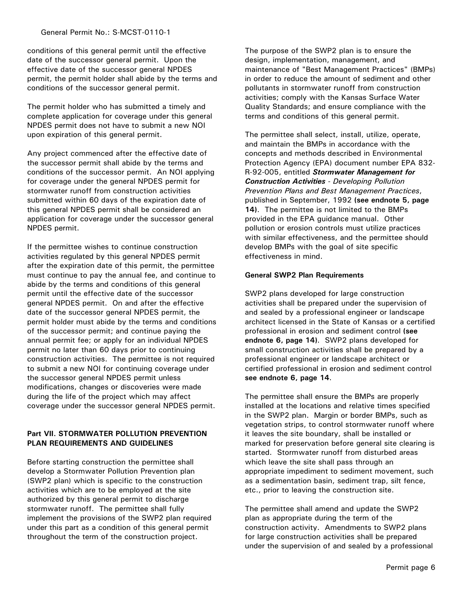conditions of this general permit until the effective date of the successor general permit. Upon the effective date of the successor general NPDES permit, the permit holder shall abide by the terms and conditions of the successor general permit.

The permit holder who has submitted a timely and complete application for coverage under this general NPDES permit does not have to submit a new NOI upon expiration of this general permit.

Any project commenced after the effective date of the successor permit shall abide by the terms and conditions of the successor permit. An NOI applying for coverage under the general NPDES permit for stormwater runoff from construction activities submitted within 60 days of the expiration date of this general NPDES permit shall be considered an application for coverage under the successor general NPDES permit.

If the permittee wishes to continue construction activities regulated by this general NPDES permit after the expiration date of this permit, the permittee must continue to pay the annual fee, and continue to abide by the terms and conditions of this general permit until the effective date of the successor general NPDES permit. On and after the effective date of the successor general NPDES permit, the permit holder must abide by the terms and conditions of the successor permit; and continue paying the annual permit fee; or apply for an individual NPDES permit no later than 60 days prior to continuing construction activities. The permittee is not required to submit a new NOI for continuing coverage under the successor general NPDES permit unless modifications, changes or discoveries were made during the life of the project which may affect coverage under the successor general NPDES permit.

# **Part VII. STORMWATER POLLUTION PREVENTION PLAN REQUIREMENTS AND GUIDELINES**

Before starting construction the permittee shall develop a Stormwater Pollution Prevention plan (SWP2 plan) which is specific to the construction activities which are to be employed at the site authorized by this general permit to discharge stormwater runoff. The permittee shall fully implement the provisions of the SWP2 plan required under this part as a condition of this general permit throughout the term of the construction project.

The purpose of the SWP2 plan is to ensure the design, implementation, management, and maintenance of "Best Management Practices" (BMPs) in order to reduce the amount of sediment and other pollutants in stormwater runoff from construction activities; comply with the Kansas Surface Water Quality Standards; and ensure compliance with the terms and conditions of this general permit.

The permittee shall select, install, utilize, operate, and maintain the BMPs in accordance with the concepts and methods described in Environmental Protection Agency (EPA) document number EPA 832- R-92-005, entitled *Stormwater Management for Construction Activities - Developing Pollution Prevention Plans and Best Management Practices*, published in September, 1992 **(see endnote 5, page 14)**. The permittee is not limited to the BMPs provided in the EPA guidance manual. Other pollution or erosion controls must utilize practices with similar effectiveness, and the permittee should develop BMPs with the goal of site specific effectiveness in mind.

# **General SWP2 Plan Requirements**

SWP2 plans developed for large construction activities shall be prepared under the supervision of and sealed by a professional engineer or landscape architect licensed in the State of Kansas or a certified professional in erosion and sediment control **(see endnote 6, page 14)**. SWP2 plans developed for small construction activities shall be prepared by a professional engineer or landscape architect or certified professional in erosion and sediment control **see endnote 6, page 14**.

The permittee shall ensure the BMPs are properly installed at the locations and relative times specified in the SWP2 plan. Margin or border BMPs, such as vegetation strips, to control stormwater runoff where it leaves the site boundary, shall be installed or marked for preservation before general site clearing is started. Stormwater runoff from disturbed areas which leave the site shall pass through an appropriate impediment to sediment movement, such as a sedimentation basin, sediment trap, silt fence, etc., prior to leaving the construction site.

The permittee shall amend and update the SWP2 plan as appropriate during the term of the construction activity. Amendments to SWP2 plans for large construction activities shall be prepared under the supervision of and sealed by a professional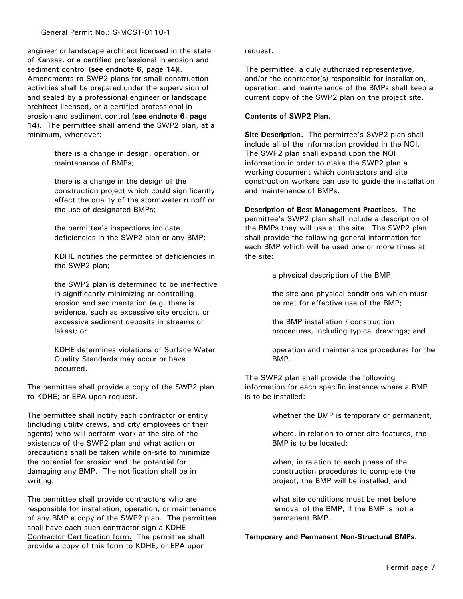engineer or landscape architect licensed in the state of Kansas, or a certified professional in erosion and sediment control **(see endnote 6, page 14)**l. Amendments to SWP2 plans for small construction activities shall be prepared under the supervision of and sealed by a professional engineer or landscape architect licensed, or a certified professional in erosion and sediment control **(see endnote 6, page 14)**. The permittee shall amend the SWP2 plan, at a minimum, whenever:

> there is a change in design, operation, or maintenance of BMPs;

there is a change in the design of the construction project which could significantly affect the quality of the stormwater runoff or the use of designated BMPs;

the permittee's inspections indicate deficiencies in the SWP2 plan or any BMP;

KDHE notifies the permittee of deficiencies in the SWP2 plan;

the SWP2 plan is determined to be ineffective in significantly minimizing or controlling erosion and sedimentation (e.g. there is evidence, such as excessive site erosion, or excessive sediment deposits in streams or lakes); or

KDHE determines violations of Surface Water Quality Standards may occur or have occurred.

The permittee shall provide a copy of the SWP2 plan to KDHE; or EPA upon request.

The permittee shall notify each contractor or entity (including utility crews, and city employees or their agents) who will perform work at the site of the existence of the SWP2 plan and what action or precautions shall be taken while on-site to minimize the potential for erosion and the potential for damaging any BMP. The notification shall be in writing.

The permittee shall provide contractors who are responsible for installation, operation, or maintenance of any BMP a copy of the SWP2 plan. The permittee shall have each such contractor sign a KDHE Contractor Certification form. The permittee shall provide a copy of this form to KDHE; or EPA upon

#### request.

The permittee, a duly authorized representative, and/or the contractor(s) responsible for installation, operation, and maintenance of the BMPs shall keep a current copy of the SWP2 plan on the project site.

## **Contents of SWP2 Plan.**

**Site Description.** The permittee's SWP2 plan shall include all of the information provided in the NOI. The SWP2 plan shall expand upon the NOI information in order to make the SWP2 plan a working document which contractors and site construction workers can use to guide the installation and maintenance of BMPs.

**Description of Best Management Practices.** The permittee's SWP2 plan shall include a description of the BMPs they will use at the site. The SWP2 plan shall provide the following general information for each BMP which will be used one or more times at the site:

a physical description of the BMP;

the site and physical conditions which must be met for effective use of the BMP;

the BMP installation / construction procedures, including typical drawings; and

operation and maintenance procedures for the BMP.

The SWP2 plan shall provide the following information for each specific instance where a BMP is to be installed:

whether the BMP is temporary or permanent;

where, in relation to other site features, the BMP is to be located;

when, in relation to each phase of the construction procedures to complete the project, the BMP will be installed; and

what site conditions must be met before removal of the BMP, if the BMP is not a permanent BMP.

## **Temporary and Permanent Non-Structural BMPs**.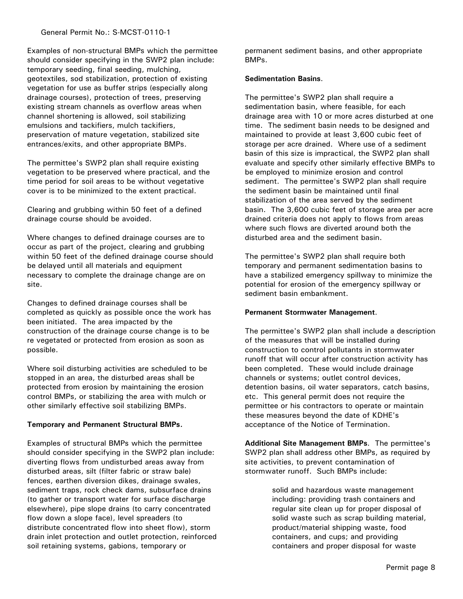Examples of non-structural BMPs which the permittee should consider specifying in the SWP2 plan include: temporary seeding, final seeding, mulching, geotextiles, sod stabilization, protection of existing vegetation for use as buffer strips (especially along drainage courses), protection of trees, preserving existing stream channels as overflow areas when channel shortening is allowed, soil stabilizing emulsions and tackifiers, mulch tackifiers, preservation of mature vegetation, stabilized site entrances/exits, and other appropriate BMPs.

The permittee's SWP2 plan shall require existing vegetation to be preserved where practical, and the time period for soil areas to be without vegetative cover is to be minimized to the extent practical.

Clearing and grubbing within 50 feet of a defined drainage course should be avoided.

Where changes to defined drainage courses are to occur as part of the project, clearing and grubbing within 50 feet of the defined drainage course should be delayed until all materials and equipment necessary to complete the drainage change are on site.

Changes to defined drainage courses shall be completed as quickly as possible once the work has been initiated. The area impacted by the construction of the drainage course change is to be re vegetated or protected from erosion as soon as possible.

Where soil disturbing activities are scheduled to be stopped in an area, the disturbed areas shall be protected from erosion by maintaining the erosion control BMPs, or stabilizing the area with mulch or other similarly effective soil stabilizing BMPs.

# **Temporary and Permanent Structural BMPs.**

Examples of structural BMPs which the permittee should consider specifying in the SWP2 plan include: diverting flows from undisturbed areas away from disturbed areas, silt (filter fabric or straw bale) fences, earthen diversion dikes, drainage swales, sediment traps, rock check dams, subsurface drains (to gather or transport water for surface discharge elsewhere), pipe slope drains (to carry concentrated flow down a slope face), level spreaders (to distribute concentrated flow into sheet flow), storm drain inlet protection and outlet protection, reinforced soil retaining systems, gabions, temporary or

permanent sediment basins, and other appropriate BMPs.

# **Sedimentation Basins**.

The permittee's SWP2 plan shall require a sedimentation basin, where feasible, for each drainage area with 10 or more acres disturbed at one time. The sediment basin needs to be designed and maintained to provide at least 3,600 cubic feet of storage per acre drained. Where use of a sediment basin of this size is impractical, the SWP2 plan shall evaluate and specify other similarly effective BMPs to be employed to minimize erosion and control sediment. The permittee's SWP2 plan shall require the sediment basin be maintained until final stabilization of the area served by the sediment basin. The 3,600 cubic feet of storage area per acre drained criteria does not apply to flows from areas where such flows are diverted around both the disturbed area and the sediment basin.

The permittee's SWP2 plan shall require both temporary and permanent sedimentation basins to have a stabilized emergency spillway to minimize the potential for erosion of the emergency spillway or sediment basin embankment.

## **Permanent Stormwater Management**.

The permittee's SWP2 plan shall include a description of the measures that will be installed during construction to control pollutants in stormwater runoff that will occur after construction activity has been completed. These would include drainage channels or systems; outlet control devices, detention basins, oil water separators, catch basins, etc. This general permit does not require the permittee or his contractors to operate or maintain these measures beyond the date of KDHE's acceptance of the Notice of Termination.

**Additional Site Management BMPs**. The permittee's SWP2 plan shall address other BMPs, as required by site activities, to prevent contamination of stormwater runoff. Such BMPs include:

> solid and hazardous waste management including: providing trash containers and regular site clean up for proper disposal of solid waste such as scrap building material, product/material shipping waste, food containers, and cups; and providing containers and proper disposal for waste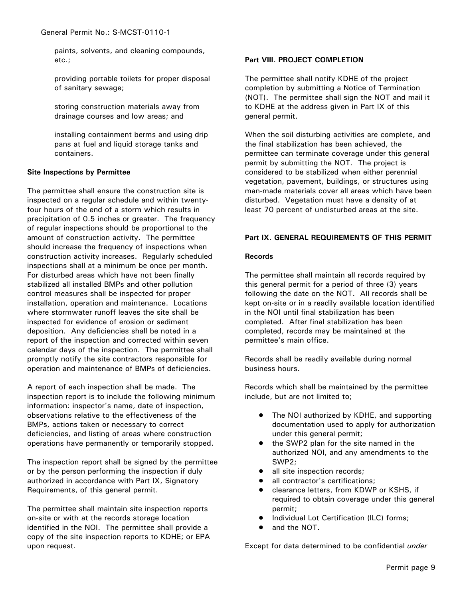paints, solvents, and cleaning compounds, etc.;

providing portable toilets for proper disposal of sanitary sewage;

storing construction materials away from drainage courses and low areas; and

installing containment berms and using drip pans at fuel and liquid storage tanks and containers.

## **Site Inspections by Permittee**

The permittee shall ensure the construction site is inspected on a regular schedule and within twentyfour hours of the end of a storm which results in precipitation of 0.5 inches or greater. The frequency of regular inspections should be proportional to the amount of construction activity. The permittee should increase the frequency of inspections when construction activity increases. Regularly scheduled inspections shall at a minimum be once per month. For disturbed areas which have not been finally stabilized all installed BMPs and other pollution control measures shall be inspected for proper installation, operation and maintenance. Locations where stormwater runoff leaves the site shall be inspected for evidence of erosion or sediment deposition. Any deficiencies shall be noted in a report of the inspection and corrected within seven calendar days of the inspection. The permittee shall promptly notify the site contractors responsible for operation and maintenance of BMPs of deficiencies.

A report of each inspection shall be made. The inspection report is to include the following minimum information: inspector's name, date of inspection, observations relative to the effectiveness of the BMPs, actions taken or necessary to correct deficiencies, and listing of areas where construction operations have permanently or temporarily stopped.

The inspection report shall be signed by the permittee or by the person performing the inspection if duly authorized in accordance with Part IX, Signatory Requirements, of this general permit.

The permittee shall maintain site inspection reports on-site or with at the records storage location identified in the NOI. The permittee shall provide a copy of the site inspection reports to KDHE; or EPA upon request.

# **Part VIII. PROJECT COMPLETION**

The permittee shall notify KDHE of the project completion by submitting a Notice of Termination (NOT). The permittee shall sign the NOT and mail it to KDHE at the address given in Part IX of this general permit.

When the soil disturbing activities are complete, and the final stabilization has been achieved, the permittee can terminate coverage under this general permit by submitting the NOT. The project is considered to be stabilized when either perennial vegetation, pavement, buildings, or structures using man-made materials cover all areas which have been disturbed. Vegetation must have a density of at least 70 percent of undisturbed areas at the site.

# **Part IX. GENERAL REQUIREMENTS OF THIS PERMIT**

## **Records**

The permittee shall maintain all records required by this general permit for a period of three (3) years following the date on the NOT. All records shall be kept on-site or in a readily available location identified in the NOI until final stabilization has been completed. After final stabilization has been completed, records may be maintained at the permittee's main office.

Records shall be readily available during normal business hours.

Records which shall be maintained by the permittee include, but are not limited to;

- The NOI authorized by KDHE, and supporting documentation used to apply for authorization under this general permit;
- the SWP2 plan for the site named in the authorized NOI, and any amendments to the SWP2;
- all site inspection records;
- all contractor's certifications;
- clearance letters, from KDWP or KSHS, if required to obtain coverage under this general permit;
- Individual Lot Certification (ILC) forms;
- and the NOT.

Except for data determined to be confidential *under*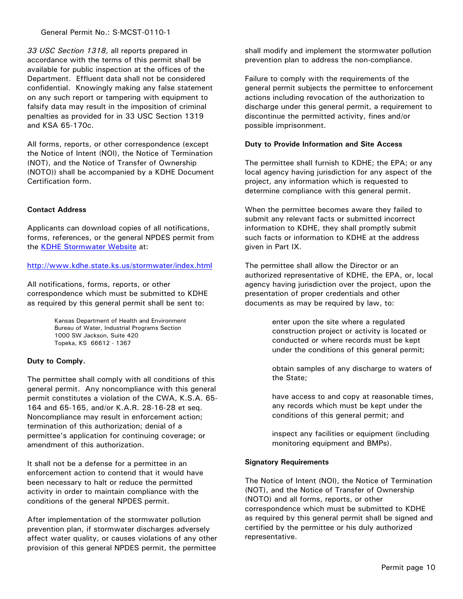General Permit No.: S-MCST-0110-1

*33 USC Section 1318*, all reports prepared in accordance with the terms of this permit shall be available for public inspection at the offices of the Department. Effluent data shall not be considered confidential. Knowingly making any false statement on any such report or tampering with equipment to falsify data may result in the imposition of criminal penalties as provided for in 33 USC Section 1319 and KSA 65-170c.

All forms, reports, or other correspondence (except the Notice of Intent (NOI), the Notice of Termination (NOT), and the Notice of Transfer of Ownership (NOTO)) shall be accompanied by a KDHE Document Certification form.

# **Contact Address**

Applicants can download copies of all notifications, forms, references, or the general NPDES permit from the KDHE Stormwater Website at:

## http://www.kdhe.state.ks.us/stormwater/index.html

All notifications, forms, reports, or other correspondence which must be submitted to KDHE as required by this general permit shall be sent to:

> Kansas Department of Health and Environment Bureau of Water, Industrial Programs Section 1000 SW Jackson, Suite 420 Topeka, KS 66612 - 1367

## **Duty to Comply.**

The permittee shall comply with all conditions of this general permit. Any noncompliance with this general permit constitutes a violation of the CWA, K.S.A. 65- 164 and 65-165, and/or K.A.R. 28-16-28 et seq. Noncompliance may result in enforcement action; termination of this authorization; denial of a permittee's application for continuing coverage; or amendment of this authorization.

It shall not be a defense for a permittee in an enforcement action to contend that it would have been necessary to halt or reduce the permitted activity in order to maintain compliance with the conditions of the general NPDES permit.

After implementation of the stormwater pollution prevention plan, if stormwater discharges adversely affect water quality, or causes violations of any other provision of this general NPDES permit, the permittee

shall modify and implement the stormwater pollution prevention plan to address the non-compliance.

Failure to comply with the requirements of the general permit subjects the permittee to enforcement actions including revocation of the authorization to discharge under this general permit, a requirement to discontinue the permitted activity, fines and/or possible imprisonment.

#### **Duty to Provide Information and Site Access**

The permittee shall furnish to KDHE; the EPA; or any local agency having jurisdiction for any aspect of the project, any information which is requested to determine compliance with this general permit.

When the permittee becomes aware they failed to submit any relevant facts or submitted incorrect information to KDHE, they shall promptly submit such facts or information to KDHE at the address given in Part IX.

The permittee shall allow the Director or an authorized representative of KDHE, the EPA, or, local agency having jurisdiction over the project, upon the presentation of proper credentials and other documents as may be required by law, to:

> enter upon the site where a regulated construction project or activity is located or conducted or where records must be kept under the conditions of this general permit;

obtain samples of any discharge to waters of the State;

have access to and copy at reasonable times, any records which must be kept under the conditions of this general permit; and

inspect any facilities or equipment (including monitoring equipment and BMPs).

## **Signatory Requirements**

The Notice of Intent (NOI), the Notice of Termination (NOT), and the Notice of Transfer of Ownership (NOTO) and all forms, reports, or other correspondence which must be submitted to KDHE as required by this general permit shall be signed and certified by the permittee or his duly authorized representative.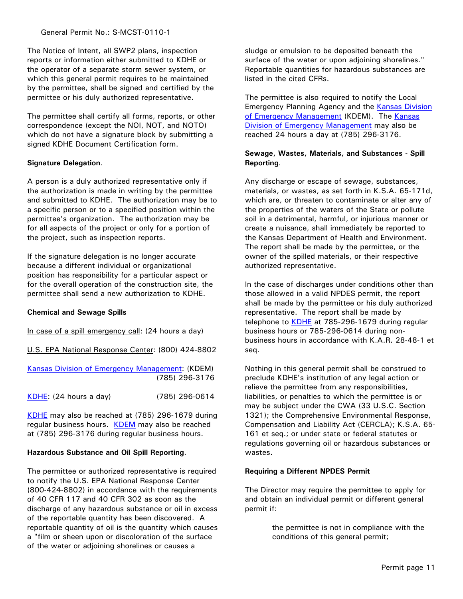The Notice of Intent, all SWP2 plans, inspection reports or information either submitted to KDHE or the operator of a separate storm sewer system, or which this general permit requires to be maintained by the permittee, shall be signed and certified by the permittee or his duly authorized representative.

The permittee shall certify all forms, reports, or other correspondence (except the NOI, NOT, and NOTO) which do not have a signature block by submitting a signed KDHE Document Certification form.

# **Signature Delegation**.

A person is a duly authorized representative only if the authorization is made in writing by the permittee and submitted to KDHE. The authorization may be to a specific person or to a specified position within the permittee's organization. The authorization may be for all aspects of the project or only for a portion of the project, such as inspection reports.

If the signature delegation is no longer accurate because a different individual or organizational position has responsibility for a particular aspect or for the overall operation of the construction site, the permittee shall send a new authorization to KDHE.

## **Chemical and Sewage Spills**

In case of a spill emergency call: (24 hours a day)

U.S. EPA National Response Center: (800) 424-8802

| Kansas Division of Emergency Management: (KDEM) |                |
|-------------------------------------------------|----------------|
|                                                 | (785) 296-3176 |
| $KDHE$ : (24 hours a day)                       | (785) 296-0614 |

KDHE may also be reached at (785) 296-1679 during regular business hours. KDEM may also be reached at (785) 296-3176 during regular business hours.

## **Hazardous Substance and Oil Spill Reporting**.

The permittee or authorized representative is required to notify the U.S. EPA National Response Center (800-424-8802) in accordance with the requirements of 40 CFR 117 and 40 CFR 302 as soon as the discharge of any hazardous substance or oil in excess of the reportable quantity has been discovered. A reportable quantity of oil is the quantity which causes a "film or sheen upon or discoloration of the surface of the water or adjoining shorelines or causes a

sludge or emulsion to be deposited beneath the surface of the water or upon adjoining shorelines." Reportable quantities for hazardous substances are listed in the cited CFRs.

The permittee is also required to notify the Local Emergency Planning Agency and the Kansas Division of Emergency Management (KDEM). The Kansas Division of Emergency Management may also be reached 24 hours a day at (785) 296-3176.

# **Sewage, Wastes, Materials, and Substances - Spill Reporting**.

Any discharge or escape of sewage, substances, materials, or wastes, as set forth in K.S.A. 65-171d, which are, or threaten to contaminate or alter any of the properties of the waters of the State or pollute soil in a detrimental, harmful, or injurious manner or create a nuisance, shall immediately be reported to the Kansas Department of Health and Environment. The report shall be made by the permittee, or the owner of the spilled materials, or their respective authorized representative.

In the case of discharges under conditions other than those allowed in a valid NPDES permit, the report shall be made by the permittee or his duly authorized representative. The report shall be made by telephone to KDHE at 785-296-1679 during regular business hours or 785-296-0614 during nonbusiness hours in accordance with K.A.R. 28-48-1 et seq.

Nothing in this general permit shall be construed to preclude KDHE's institution of any legal action or relieve the permittee from any responsibilities, liabilities, or penalties to which the permittee is or may be subject under the CWA (33 U.S.C. Section 1321); the Comprehensive Environmental Response, Compensation and Liability Act (CERCLA); K.S.A. 65- 161 et seq.; or under state or federal statutes or regulations governing oil or hazardous substances or wastes.

# **Requiring a Different NPDES Permit**

The Director may require the permittee to apply for and obtain an individual permit or different general permit if:

> the permittee is not in compliance with the conditions of this general permit;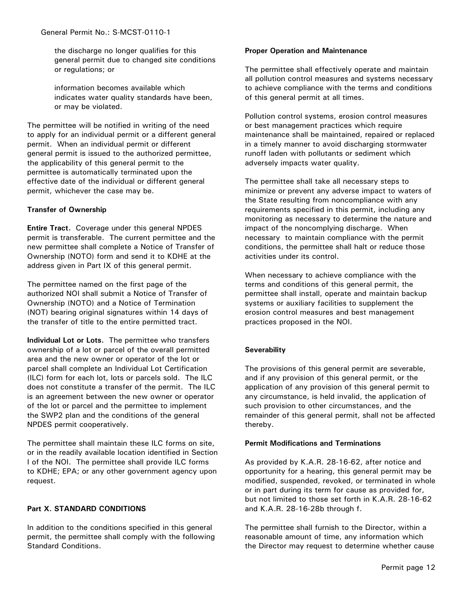the discharge no longer qualifies for this general permit due to changed site conditions or regulations; or

information becomes available which indicates water quality standards have been, or may be violated.

The permittee will be notified in writing of the need to apply for an individual permit or a different general permit. When an individual permit or different general permit is issued to the authorized permittee, the applicability of this general permit to the permittee is automatically terminated upon the effective date of the individual or different general permit, whichever the case may be.

# **Transfer of Ownership**

**Entire Tract.** Coverage under this general NPDES permit is transferable. The current permittee and the new permittee shall complete a Notice of Transfer of Ownership (NOTO) form and send it to KDHE at the address given in Part IX of this general permit.

The permittee named on the first page of the authorized NOI shall submit a Notice of Transfer of Ownership (NOTO) and a Notice of Termination (NOT) bearing original signatures within 14 days of the transfer of title to the entire permitted tract.

**Individual Lot or Lots.** The permittee who transfers ownership of a lot or parcel of the overall permitted area and the new owner or operator of the lot or parcel shall complete an Individual Lot Certification (ILC) form for each lot, lots or parcels sold. The ILC does not constitute a transfer of the permit. The ILC is an agreement between the new owner or operator of the lot or parcel and the permittee to implement the SWP2 plan and the conditions of the general NPDES permit cooperatively.

The permittee shall maintain these ILC forms on site, or in the readily available location identified in Section I of the NOI. The permittee shall provide ILC forms to KDHE; EPA; or any other government agency upon request.

## **Part X. STANDARD CONDITIONS**

In addition to the conditions specified in this general permit, the permittee shall comply with the following Standard Conditions.

#### **Proper Operation and Maintenance**

The permittee shall effectively operate and maintain all pollution control measures and systems necessary to achieve compliance with the terms and conditions of this general permit at all times.

Pollution control systems, erosion control measures or best management practices which require maintenance shall be maintained, repaired or replaced in a timely manner to avoid discharging stormwater runoff laden with pollutants or sediment which adversely impacts water quality.

The permittee shall take all necessary steps to minimize or prevent any adverse impact to waters of the State resulting from noncompliance with any requirements specified in this permit, including any monitoring as necessary to determine the nature and impact of the noncomplying discharge. When necessary to maintain compliance with the permit conditions, the permittee shall halt or reduce those activities under its control.

When necessary to achieve compliance with the terms and conditions of this general permit, the permittee shall install, operate and maintain backup systems or auxiliary facilities to supplement the erosion control measures and best management practices proposed in the NOI.

# **Severability**

The provisions of this general permit are severable, and if any provision of this general permit, or the application of any provision of this general permit to any circumstance, is held invalid, the application of such provision to other circumstances, and the remainder of this general permit, shall not be affected thereby.

## **Permit Modifications and Terminations**

As provided by K.A.R. 28-16-62, after notice and opportunity for a hearing, this general permit may be modified, suspended, revoked, or terminated in whole or in part during its term for cause as provided for, but not limited to those set forth in K.A.R. 28-16-62 and K.A.R. 28-16-28b through f.

The permittee shall furnish to the Director, within a reasonable amount of time, any information which the Director may request to determine whether cause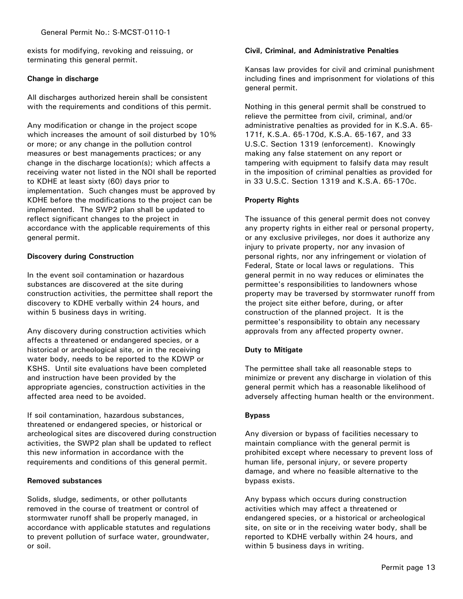exists for modifying, revoking and reissuing, or terminating this general permit.

# **Change in discharge**

All discharges authorized herein shall be consistent with the requirements and conditions of this permit.

Any modification or change in the project scope which increases the amount of soil disturbed by 10% or more; or any change in the pollution control measures or best managements practices; or any change in the discharge location(s); which affects a receiving water not listed in the NOI shall be reported to KDHE at least sixty (60) days prior to implementation. Such changes must be approved by KDHE before the modifications to the project can be implemented. The SWP2 plan shall be updated to reflect significant changes to the project in accordance with the applicable requirements of this general permit.

# **Discovery during Construction**

In the event soil contamination or hazardous substances are discovered at the site during construction activities, the permittee shall report the discovery to KDHE verbally within 24 hours, and within 5 business days in writing.

Any discovery during construction activities which affects a threatened or endangered species, or a historical or archeological site, or in the receiving water body, needs to be reported to the KDWP or KSHS. Until site evaluations have been completed and instruction have been provided by the appropriate agencies, construction activities in the affected area need to be avoided.

If soil contamination, hazardous substances, threatened or endangered species, or historical or archeological sites are discovered during construction activities, the SWP2 plan shall be updated to reflect this new information in accordance with the requirements and conditions of this general permit.

## **Removed substances**

Solids, sludge, sediments, or other pollutants removed in the course of treatment or control of stormwater runoff shall be properly managed, in accordance with applicable statutes and regulations to prevent pollution of surface water, groundwater, or soil.

# **Civil, Criminal, and Administrative Penalties**

Kansas law provides for civil and criminal punishment including fines and imprisonment for violations of this general permit.

Nothing in this general permit shall be construed to relieve the permittee from civil, criminal, and/or administrative penalties as provided for in K.S.A. 65- 171f, K.S.A. 65-170d, K.S.A. 65-167, and 33 U.S.C. Section 1319 (enforcement). Knowingly making any false statement on any report or tampering with equipment to falsify data may result in the imposition of criminal penalties as provided for in 33 U.S.C. Section 1319 and K.S.A. 65-170c.

# **Property Rights**

The issuance of this general permit does not convey any property rights in either real or personal property, or any exclusive privileges, nor does it authorize any injury to private property, nor any invasion of personal rights, nor any infringement or violation of Federal, State or local laws or regulations. This general permit in no way reduces or eliminates the permittee's responsibilities to landowners whose property may be traversed by stormwater runoff from the project site either before, during, or after construction of the planned project. It is the permittee's responsibility to obtain any necessary approvals from any affected property owner.

# **Duty to Mitigate**

The permittee shall take all reasonable steps to minimize or prevent any discharge in violation of this general permit which has a reasonable likelihood of adversely affecting human health or the environment.

## **Bypass**

Any diversion or bypass of facilities necessary to maintain compliance with the general permit is prohibited except where necessary to prevent loss of human life, personal injury, or severe property damage, and where no feasible alternative to the bypass exists.

Any bypass which occurs during construction activities which may affect a threatened or endangered species, or a historical or archeological site, on site or in the receiving water body, shall be reported to KDHE verbally within 24 hours, and within 5 business days in writing.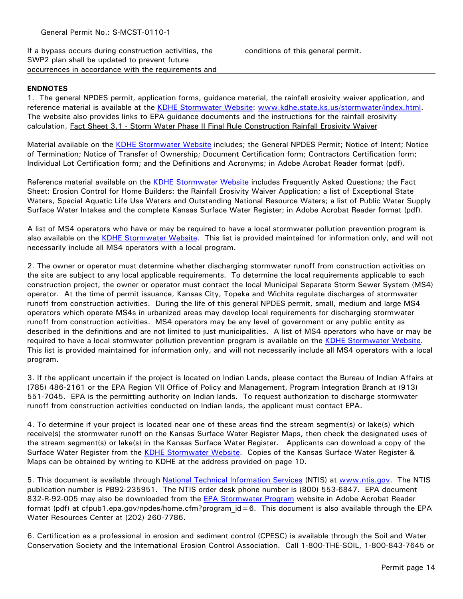If a bypass occurs during construction activities, the SWP2 plan shall be updated to prevent future occurrences in accordance with the requirements and

# **ENDNOTES**

1. The general NPDES permit, application forms, guidance material, the rainfall erosivity waiver application, and reference material is available at the KDHE Stormwater Website: www.kdhe.state.ks.us/stormwater/index.html. The website also provides links to EPA guidance documents and the instructions for the rainfall erosivity calculation, Fact Sheet 3.1 - Storm Water Phase II Final Rule Construction Rainfall Erosivity Waiver

Material available on the KDHE Stormwater Website includes; the General NPDES Permit; Notice of Intent; Notice of Termination; Notice of Transfer of Ownership; Document Certification form; Contractors Certification form; Individual Lot Certification form; and the Definitions and Acronyms; in Adobe Acrobat Reader format (pdf).

Reference material available on the KDHE Stormwater Website includes Frequently Asked Questions; the Fact Sheet: Erosion Control for Home Builders; the Rainfall Erosivity Waiver Application; a list of Exceptional State Waters, Special Aquatic Life Use Waters and Outstanding National Resource Waters; a list of Public Water Supply Surface Water Intakes and the complete Kansas Surface Water Register; in Adobe Acrobat Reader format (pdf).

A list of MS4 operators who have or may be required to have a local stormwater pollution prevention program is also available on the KDHE Stormwater Website. This list is provided maintained for information only, and will not necessarily include all MS4 operators with a local program.

2. The owner or operator must determine whether discharging stormwater runoff from construction activities on the site are subject to any local applicable requirements. To determine the local requirements applicable to each construction project, the owner or operator must contact the local Municipal Separate Storm Sewer System (MS4) operator. At the time of permit issuance, Kansas City, Topeka and Wichita regulate discharges of stormwater runoff from construction activities. During the life of this general NPDES permit, small, medium and large MS4 operators which operate MS4s in urbanized areas may develop local requirements for discharging stormwater runoff from construction activities. MS4 operators may be any level of government or any public entity as described in the definitions and are not limited to just municipalities. A list of MS4 operators who have or may be required to have a local stormwater pollution prevention program is available on the KDHE Stormwater Website. This list is provided maintained for information only, and will not necessarily include all MS4 operators with a local program.

3. If the applicant uncertain if the project is located on Indian Lands, please contact the Bureau of Indian Affairs at (785) 486-2161 or the EPA Region VII Office of Policy and Management, Program Integration Branch at (913) 551-7045. EPA is the permitting authority on Indian lands. To request authorization to discharge stormwater runoff from construction activities conducted on Indian lands, the applicant must contact EPA.

4. To determine if your project is located near one of these areas find the stream segment(s) or lake(s) which receive(s) the stormwater runoff on the Kansas Surface Water Register Maps, then check the designated uses of the stream segment(s) or lake(s) in the Kansas Surface Water Register. Applicants can download a copy of the Surface Water Register from the KDHE Stormwater Website. Copies of the Kansas Surface Water Register & Maps can be obtained by writing to KDHE at the address provided on page 10.

5. This document is available through National Technical Information Services (NTIS) at www.ntis.gov. The NTIS publication number is PB92-235951. The NTIS order desk phone number is (800) 553-6847. EPA document 832-R-92-005 may also be downloaded from the **EPA Stormwater Program** website in Adobe Acrobat Reader format (pdf) at cfpub1.epa.gov/npdes/home.cfm?program\_id=6. This document is also available through the EPA Water Resources Center at (202) 260-7786.

6. Certification as a professional in erosion and sediment control (CPESC) is available through the Soil and Water Conservation Society and the International Erosion Control Association. Call 1-800-THE-SOIL, 1-800-843-7645 or